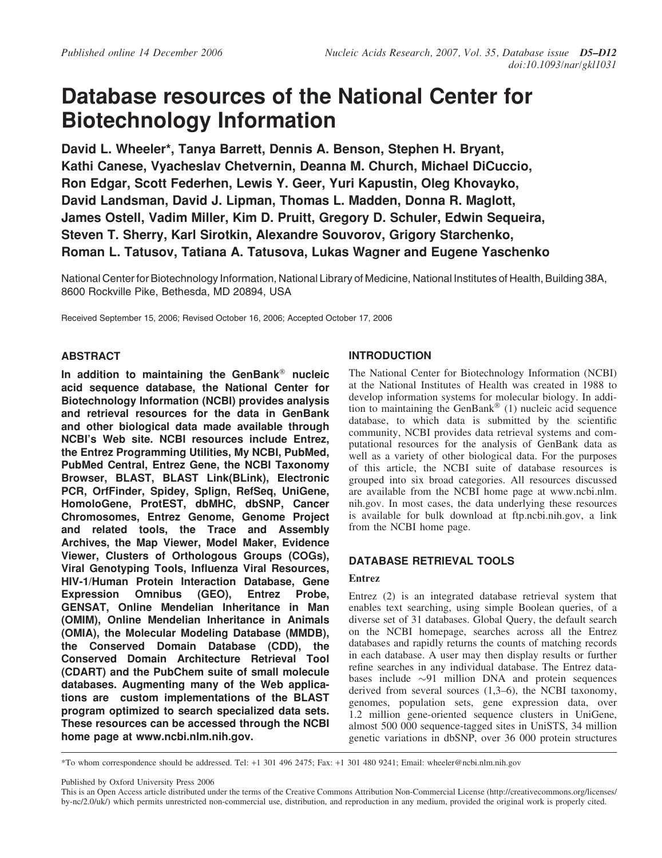# Database resources of the National Center for Biotechnology Information

David L. Wheeler\*, Tanya Barrett, Dennis A. Benson, Stephen H. Bryant, Kathi Canese, Vyacheslav Chetvernin, Deanna M. Church, Michael DiCuccio, Ron Edgar, Scott Federhen, Lewis Y. Geer, Yuri Kapustin, Oleg Khovayko, David Landsman, David J. Lipman, Thomas L. Madden, Donna R. Maglott, James Ostell, Vadim Miller, Kim D. Pruitt, Gregory D. Schuler, Edwin Sequeira, Steven T. Sherry, Karl Sirotkin, Alexandre Souvorov, Grigory Starchenko, Roman L. Tatusov, Tatiana A. Tatusova, Lukas Wagner and Eugene Yaschenko

National Center for Biotechnology Information, National Library of Medicine, National Institutes of Health, Building 38A, 8600 Rockville Pike, Bethesda, MD 20894, USA

Received September 15, 2006; Revised October 16, 2006; Accepted October 17, 2006

## ABSTRACT

In addition to maintaining the GenBank® nucleic acid sequence database, the National Center for Biotechnology Information (NCBI) provides analysis and retrieval resources for the data in GenBank and other biological data made available through NCBI's Web site. NCBI resources include Entrez, the Entrez Programming Utilities, My NCBI, PubMed, PubMed Central, Entrez Gene, the NCBI Taxonomy Browser, BLAST, BLAST Link(BLink), Electronic PCR, OrfFinder, Spidey, Splign, RefSeq, UniGene, HomoloGene, ProtEST, dbMHC, dbSNP, Cancer Chromosomes, Entrez Genome, Genome Project and related tools, the Trace and Assembly Archives, the Map Viewer, Model Maker, Evidence Viewer, Clusters of Orthologous Groups (COGs), Viral Genotyping Tools, Influenza Viral Resources, HIV-1/Human Protein Interaction Database, Gene Expression Omnibus (GEO), Entrez Probe, GENSAT, Online Mendelian Inheritance in Man (OMIM), Online Mendelian Inheritance in Animals (OMIA), the Molecular Modeling Database (MMDB), the Conserved Domain Database (CDD), the Conserved Domain Architecture Retrieval Tool (CDART) and the PubChem suite of small molecule databases. Augmenting many of the Web applications are custom implementations of the BLAST program optimized to search specialized data sets. These resources can be accessed through the NCBI home page at www.ncbi.nlm.nih.gov.

# INTRODUCTION

The National Center for Biotechnology Information (NCBI) at the National Institutes of Health was created in 1988 to develop information systems for molecular biology. In addition to maintaining the GenBank $^{\circ}$  (1) nucleic acid sequence database, to which data is submitted by the scientific community, NCBI provides data retrieval systems and computational resources for the analysis of GenBank data as well as a variety of other biological data. For the purposes of this article, the NCBI suite of database resources is grouped into six broad categories. All resources discussed are available from the NCBI home page at www.ncbi.nlm. nih.gov. In most cases, the data underlying these resources is available for bulk download at ftp.ncbi.nih.gov, a link from the NCBI home page.

## DATABASE RETRIEVAL TOOLS

## Entrez

Entrez (2) is an integrated database retrieval system that enables text searching, using simple Boolean queries, of a diverse set of 31 databases. Global Query, the default search on the NCBI homepage, searches across all the Entrez databases and rapidly returns the counts of matching records in each database. A user may then display results or further refine searches in any individual database. The Entrez databases include  $\sim$ 91 million DNA and protein sequences derived from several sources (1,3–6), the NCBI taxonomy, genomes, population sets, gene expression data, over 1.2 million gene-oriented sequence clusters in UniGene, almost 500 000 sequence-tagged sites in UniSTS, 34 million genetic variations in dbSNP, over 36 000 protein structures

\*To whom correspondence should be addressed. Tel: +1 301 496 2475; Fax: +1 301 480 9241; Email: wheeler@ncbi.nlm.nih.gov

Published by Oxford University Press 2006

This is an Open Access article distributed under the terms of the Creative Commons Attribution Non-Commercial License [\(http://creativecommons.org/licenses/](http://creativecommons.org/licenses/) by-nc/2.0/uk/) which permits unrestricted non-commercial use, distribution, and reproduction in any medium, provided the original work is properly cited.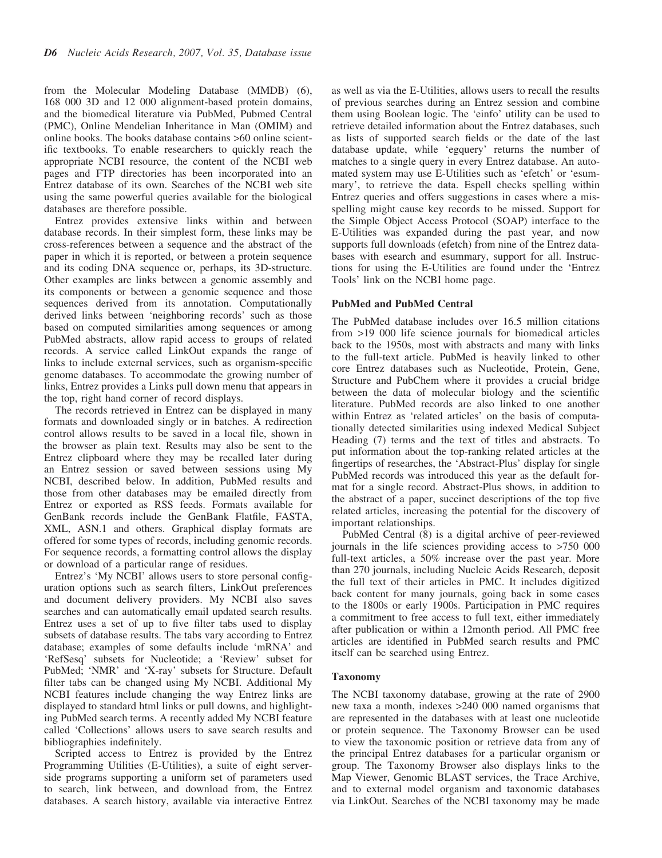from the Molecular Modeling Database (MMDB) (6), 168 000 3D and 12 000 alignment-based protein domains, and the biomedical literature via PubMed, Pubmed Central (PMC), Online Mendelian Inheritance in Man (OMIM) and online books. The books database contains >60 online scientific textbooks. To enable researchers to quickly reach the appropriate NCBI resource, the content of the NCBI web pages and FTP directories has been incorporated into an Entrez database of its own. Searches of the NCBI web site using the same powerful queries available for the biological databases are therefore possible.

Entrez provides extensive links within and between database records. In their simplest form, these links may be cross-references between a sequence and the abstract of the paper in which it is reported, or between a protein sequence and its coding DNA sequence or, perhaps, its 3D-structure. Other examples are links between a genomic assembly and its components or between a genomic sequence and those sequences derived from its annotation. Computationally derived links between 'neighboring records' such as those based on computed similarities among sequences or among PubMed abstracts, allow rapid access to groups of related records. A service called LinkOut expands the range of links to include external services, such as organism-specific genome databases. To accommodate the growing number of links, Entrez provides a Links pull down menu that appears in the top, right hand corner of record displays.

The records retrieved in Entrez can be displayed in many formats and downloaded singly or in batches. A redirection control allows results to be saved in a local file, shown in the browser as plain text. Results may also be sent to the Entrez clipboard where they may be recalled later during an Entrez session or saved between sessions using My NCBI, described below. In addition, PubMed results and those from other databases may be emailed directly from Entrez or exported as RSS feeds. Formats available for GenBank records include the GenBank Flatfile, FASTA, XML, ASN.1 and others. Graphical display formats are offered for some types of records, including genomic records. For sequence records, a formatting control allows the display or download of a particular range of residues.

Entrez's 'My NCBI' allows users to store personal configuration options such as search filters, LinkOut preferences and document delivery providers. My NCBI also saves searches and can automatically email updated search results. Entrez uses a set of up to five filter tabs used to display subsets of database results. The tabs vary according to Entrez database; examples of some defaults include 'mRNA' and 'RefSesq' subsets for Nucleotide; a 'Review' subset for PubMed; 'NMR' and 'X-ray' subsets for Structure. Default filter tabs can be changed using My NCBI. Additional My NCBI features include changing the way Entrez links are displayed to standard html links or pull downs, and highlighting PubMed search terms. A recently added My NCBI feature called 'Collections' allows users to save search results and bibliographies indefinitely.

Scripted access to Entrez is provided by the Entrez Programming Utilities (E-Utilities), a suite of eight serverside programs supporting a uniform set of parameters used to search, link between, and download from, the Entrez databases. A search history, available via interactive Entrez as well as via the E-Utilities, allows users to recall the results of previous searches during an Entrez session and combine them using Boolean logic. The 'einfo' utility can be used to retrieve detailed information about the Entrez databases, such as lists of supported search fields or the date of the last database update, while 'egquery' returns the number of matches to a single query in every Entrez database. An automated system may use E-Utilities such as 'efetch' or 'esummary', to retrieve the data. Espell checks spelling within Entrez queries and offers suggestions in cases where a misspelling might cause key records to be missed. Support for the Simple Object Access Protocol (SOAP) interface to the E-Utilities was expanded during the past year, and now supports full downloads (efetch) from nine of the Entrez databases with esearch and esummary, support for all. Instructions for using the E-Utilities are found under the 'Entrez Tools' link on the NCBI home page.

#### PubMed and PubMed Central

The PubMed database includes over 16.5 million citations from >19 000 life science journals for biomedical articles back to the 1950s, most with abstracts and many with links to the full-text article. PubMed is heavily linked to other core Entrez databases such as Nucleotide, Protein, Gene, Structure and PubChem where it provides a crucial bridge between the data of molecular biology and the scientific literature. PubMed records are also linked to one another within Entrez as 'related articles' on the basis of computationally detected similarities using indexed Medical Subject Heading (7) terms and the text of titles and abstracts. To put information about the top-ranking related articles at the fingertips of researches, the 'Abstract-Plus' display for single PubMed records was introduced this year as the default format for a single record. Abstract-Plus shows, in addition to the abstract of a paper, succinct descriptions of the top five related articles, increasing the potential for the discovery of important relationships.

PubMed Central (8) is a digital archive of peer-reviewed journals in the life sciences providing access to >750 000 full-text articles, a 50% increase over the past year. More than 270 journals, including Nucleic Acids Research, deposit the full text of their articles in PMC. It includes digitized back content for many journals, going back in some cases to the 1800s or early 1900s. Participation in PMC requires a commitment to free access to full text, either immediately after publication or within a 12month period. All PMC free articles are identified in PubMed search results and PMC itself can be searched using Entrez.

#### Taxonomy

The NCBI taxonomy database, growing at the rate of 2900 new taxa a month, indexes >240 000 named organisms that are represented in the databases with at least one nucleotide or protein sequence. The Taxonomy Browser can be used to view the taxonomic position or retrieve data from any of the principal Entrez databases for a particular organism or group. The Taxonomy Browser also displays links to the Map Viewer, Genomic BLAST services, the Trace Archive, and to external model organism and taxonomic databases via LinkOut. Searches of the NCBI taxonomy may be made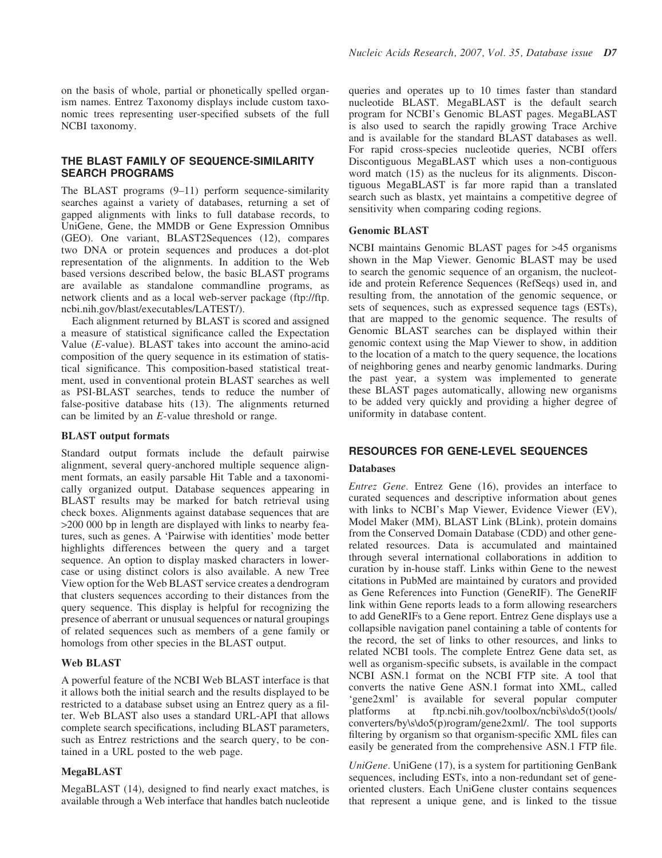on the basis of whole, partial or phonetically spelled organism names. Entrez Taxonomy displays include custom taxonomic trees representing user-specified subsets of the full NCBI taxonomy.

## THE BLAST FAMILY OF SEQUENCE-SIMILARITY SEARCH PROGRAMS

The BLAST programs (9–11) perform sequence-similarity searches against a variety of databases, returning a set of gapped alignments with links to full database records, to UniGene, Gene, the MMDB or Gene Expression Omnibus (GEO). One variant, BLAST2Sequences (12), compares two DNA or protein sequences and produces a dot-plot representation of the alignments. In addition to the Web based versions described below, the basic BLAST programs are available as standalone commandline programs, as network clients and as a local web-server package ([ftp://ftp.](ftp://ftp) ncbi.nih.gov/blast/executables/LATEST/).

Each alignment returned by BLAST is scored and assigned a measure of statistical significance called the Expectation Value (E-value). BLAST takes into account the amino-acid composition of the query sequence in its estimation of statistical significance. This composition-based statistical treatment, used in conventional protein BLAST searches as well as PSI-BLAST searches, tends to reduce the number of false-positive database hits (13). The alignments returned can be limited by an E-value threshold or range.

#### BLAST output formats

Standard output formats include the default pairwise alignment, several query-anchored multiple sequence alignment formats, an easily parsable Hit Table and a taxonomically organized output. Database sequences appearing in BLAST results may be marked for batch retrieval using check boxes. Alignments against database sequences that are >200 000 bp in length are displayed with links to nearby features, such as genes. A 'Pairwise with identities' mode better highlights differences between the query and a target sequence. An option to display masked characters in lowercase or using distinct colors is also available. A new Tree View option for the Web BLAST service creates a dendrogram that clusters sequences according to their distances from the query sequence. This display is helpful for recognizing the presence of aberrant or unusual sequences or natural groupings of related sequences such as members of a gene family or homologs from other species in the BLAST output.

## Web BLAST

A powerful feature of the NCBI Web BLAST interface is that it allows both the initial search and the results displayed to be restricted to a database subset using an Entrez query as a filter. Web BLAST also uses a standard URL-API that allows complete search specifications, including BLAST parameters, such as Entrez restrictions and the search query, to be contained in a URL posted to the web page.

### MegaBLAST

MegaBLAST (14), designed to find nearly exact matches, is available through a Web interface that handles batch nucleotide queries and operates up to 10 times faster than standard nucleotide BLAST. MegaBLAST is the default search program for NCBI's Genomic BLAST pages. MegaBLAST is also used to search the rapidly growing Trace Archive and is available for the standard BLAST databases as well. For rapid cross-species nucleotide queries, NCBI offers Discontiguous MegaBLAST which uses a non-contiguous word match (15) as the nucleus for its alignments. Discontiguous MegaBLAST is far more rapid than a translated search such as blastx, yet maintains a competitive degree of sensitivity when comparing coding regions.

#### Genomic BLAST

NCBI maintains Genomic BLAST pages for >45 organisms shown in the Map Viewer. Genomic BLAST may be used to search the genomic sequence of an organism, the nucleotide and protein Reference Sequences (RefSeqs) used in, and resulting from, the annotation of the genomic sequence, or sets of sequences, such as expressed sequence tags (ESTs), that are mapped to the genomic sequence. The results of Genomic BLAST searches can be displayed within their genomic context using the Map Viewer to show, in addition to the location of a match to the query sequence, the locations of neighboring genes and nearby genomic landmarks. During the past year, a system was implemented to generate these BLAST pages automatically, allowing new organisms to be added very quickly and providing a higher degree of uniformity in database content.

#### RESOURCES FOR GENE-LEVEL SEQUENCES

#### Databases

Entrez Gene. Entrez Gene (16), provides an interface to curated sequences and descriptive information about genes with links to NCBI's Map Viewer, Evidence Viewer (EV), Model Maker (MM), BLAST Link (BLink), protein domains from the Conserved Domain Database (CDD) and other generelated resources. Data is accumulated and maintained through several international collaborations in addition to curation by in-house staff. Links within Gene to the newest citations in PubMed are maintained by curators and provided as Gene References into Function (GeneRIF). The GeneRIF link within Gene reports leads to a form allowing researchers to add GeneRIFs to a Gene report. Entrez Gene displays use a collapsible navigation panel containing a table of contents for the record, the set of links to other resources, and links to related NCBI tools. The complete Entrez Gene data set, as well as organism-specific subsets, is available in the compact NCBI ASN.1 format on the NCBI FTP site. A tool that converts the native Gene ASN.1 format into XML, called 'gene2xml' is available for several popular computer platforms at ftp.ncbi.nih.gov/toolbox/ncbi\s\do5(t)ools/ converters/by\s\do5(p)rogram/gene2xml/. The tool supports filtering by organism so that organism-specific XML files can easily be generated from the comprehensive ASN.1 FTP file.

UniGene. UniGene (17), is a system for partitioning GenBank sequences, including ESTs, into a non-redundant set of geneoriented clusters. Each UniGene cluster contains sequences that represent a unique gene, and is linked to the tissue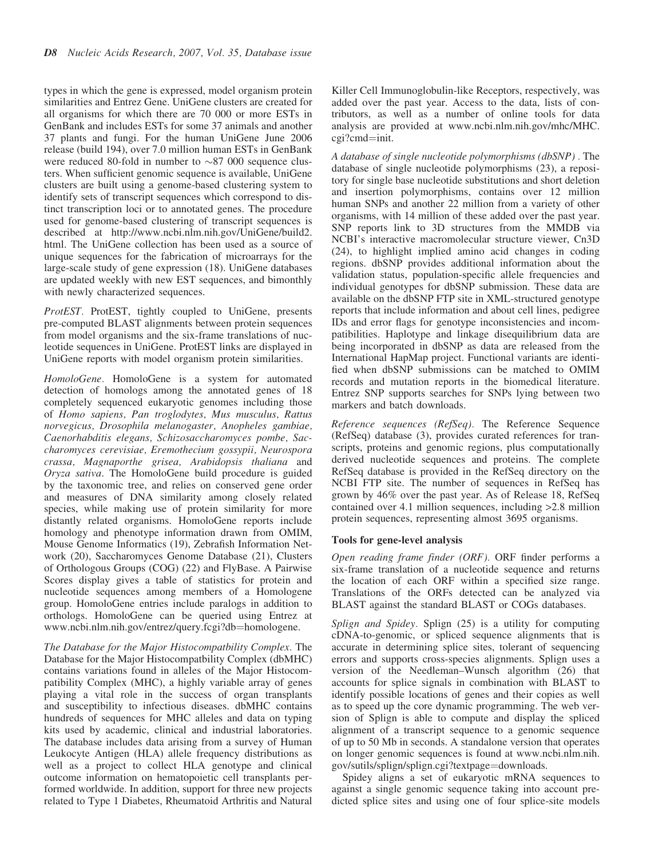types in which the gene is expressed, model organism protein similarities and Entrez Gene. UniGene clusters are created for all organisms for which there are 70 000 or more ESTs in GenBank and includes ESTs for some 37 animals and another 37 plants and fungi. For the human UniGene June 2006 release (build 194), over 7.0 million human ESTs in GenBank were reduced 80-fold in number to  $\sim 87,000$  sequence clusters. When sufficient genomic sequence is available, UniGene clusters are built using a genome-based clustering system to identify sets of transcript sequences which correspond to distinct transcription loci or to annotated genes. The procedure used for genome-based clustering of transcript sequences is described at [http://www.ncbi.nlm.nih.gov/UniGene/build2.](http://www.ncbi.nlm.nih.gov/UniGene/build2) html. The UniGene collection has been used as a source of unique sequences for the fabrication of microarrays for the large-scale study of gene expression (18). UniGene databases are updated weekly with new EST sequences, and bimonthly with newly characterized sequences.

ProtEST. ProtEST, tightly coupled to UniGene, presents pre-computed BLAST alignments between protein sequences from model organisms and the six-frame translations of nucleotide sequences in UniGene. ProtEST links are displayed in UniGene reports with model organism protein similarities.

HomoloGene. HomoloGene is a system for automated detection of homologs among the annotated genes of 18 completely sequenced eukaryotic genomes including those of Homo sapiens, Pan troglodytes, Mus musculus, Rattus norvegicus, Drosophila melanogaster, Anopheles gambiae, Caenorhabditis elegans, Schizosaccharomyces pombe, Saccharomyces cerevisiae, Eremothecium gossypii, Neurospora crassa, Magnaporthe grisea, Arabidopsis thaliana and Oryza sativa. The HomoloGene build procedure is guided by the taxonomic tree, and relies on conserved gene order and measures of DNA similarity among closely related species, while making use of protein similarity for more distantly related organisms. HomoloGene reports include homology and phenotype information drawn from OMIM, Mouse Genome Informatics (19), Zebrafish Information Network (20), Saccharomyces Genome Database (21), Clusters of Orthologous Groups (COG) (22) and FlyBase. A Pairwise Scores display gives a table of statistics for protein and nucleotide sequences among members of a Homologene group. HomoloGene entries include paralogs in addition to orthologs. HomoloGene can be queried using Entrez at www.ncbi.nlm.nih.gov/entrez/query.fcgi?db=homologene.

The Database for the Major Histocompatbility Complex. The Database for the Major Histocompatbility Complex (dbMHC) contains variations found in alleles of the Major Histocompatibility Complex (MHC), a highly variable array of genes playing a vital role in the success of organ transplants and susceptibility to infectious diseases. dbMHC contains hundreds of sequences for MHC alleles and data on typing kits used by academic, clinical and industrial laboratories. The database includes data arising from a survey of Human Leukocyte Antigen (HLA) allele frequency distributions as well as a project to collect HLA genotype and clinical outcome information on hematopoietic cell transplants performed worldwide. In addition, support for three new projects related to Type 1 Diabetes, Rheumatoid Arthritis and Natural Killer Cell Immunoglobulin-like Receptors, respectively, was added over the past year. Access to the data, lists of contributors, as well as a number of online tools for data analysis are provided at www.ncbi.nlm.nih.gov/mhc/MHC. cgi?cmd=init.

A database of single nucleotide polymorphisms (dbSNP) . The database of single nucleotide polymorphisms (23), a repository for single base nucleotide substitutions and short deletion and insertion polymorphisms, contains over 12 million human SNPs and another 22 million from a variety of other organisms, with 14 million of these added over the past year. SNP reports link to 3D structures from the MMDB via NCBI's interactive macromolecular structure viewer, Cn3D (24), to highlight implied amino acid changes in coding regions. dbSNP provides additional information about the validation status, population-specific allele frequencies and individual genotypes for dbSNP submission. These data are available on the dbSNP FTP site in XML-structured genotype reports that include information and about cell lines, pedigree IDs and error flags for genotype inconsistencies and incompatibilities. Haplotype and linkage disequilibrium data are being incorporated in dbSNP as data are released from the International HapMap project. Functional variants are identified when dbSNP submissions can be matched to OMIM records and mutation reports in the biomedical literature. Entrez SNP supports searches for SNPs lying between two markers and batch downloads.

Reference sequences (RefSeq). The Reference Sequence (RefSeq) database (3), provides curated references for transcripts, proteins and genomic regions, plus computationally derived nucleotide sequences and proteins. The complete RefSeq database is provided in the RefSeq directory on the NCBI FTP site. The number of sequences in RefSeq has grown by 46% over the past year. As of Release 18, RefSeq contained over 4.1 million sequences, including >2.8 million protein sequences, representing almost 3695 organisms.

## Tools for gene-level analysis

Open reading frame finder (ORF). ORF finder performs a six-frame translation of a nucleotide sequence and returns the location of each ORF within a specified size range. Translations of the ORFs detected can be analyzed via BLAST against the standard BLAST or COGs databases.

Splign and Spidey. Splign (25) is a utility for computing cDNA-to-genomic, or spliced sequence alignments that is accurate in determining splice sites, tolerant of sequencing errors and supports cross-species alignments. Splign uses a version of the Needleman–Wunsch algorithm (26) that accounts for splice signals in combination with BLAST to identify possible locations of genes and their copies as well as to speed up the core dynamic programming. The web version of Splign is able to compute and display the spliced alignment of a transcript sequence to a genomic sequence of up to 50 Mb in seconds. A standalone version that operates on longer genomic sequences is found at www.ncbi.nlm.nih. gov/sutils/splign/splign.cgi?textpage=downloads.

Spidey aligns a set of eukaryotic mRNA sequences to against a single genomic sequence taking into account predicted splice sites and using one of four splice-site models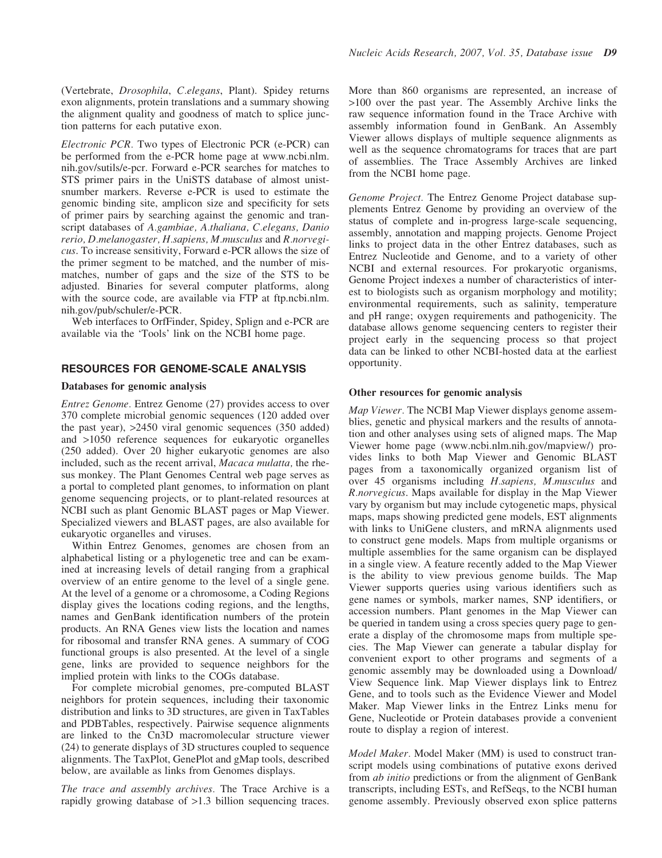(Vertebrate, Drosophila, C.elegans, Plant). Spidey returns exon alignments, protein translations and a summary showing the alignment quality and goodness of match to splice junction patterns for each putative exon.

Electronic PCR. Two types of Electronic PCR (e-PCR) can be performed from the e-PCR home page at www.ncbi.nlm. nih.gov/sutils/e-pcr. Forward e-PCR searches for matches to STS primer pairs in the UniSTS database of almost unistsnumber markers. Reverse e-PCR is used to estimate the genomic binding site, amplicon size and specificity for sets of primer pairs by searching against the genomic and transcript databases of A.gambiae, A.thaliana, C.elegans, Danio rerio, D.melanogaster, H.sapiens, M.musculus and R.norvegicus. To increase sensitivity, Forward e-PCR allows the size of the primer segment to be matched, and the number of mismatches, number of gaps and the size of the STS to be adjusted. Binaries for several computer platforms, along with the source code, are available via FTP at ftp.ncbi.nlm. nih.gov/pub/schuler/e-PCR.

Web interfaces to OrfFinder, Spidey, Splign and e-PCR are available via the 'Tools' link on the NCBI home page.

#### RESOURCES FOR GENOME-SCALE ANALYSIS

#### Databases for genomic analysis

Entrez Genome. Entrez Genome (27) provides access to over 370 complete microbial genomic sequences (120 added over the past year), >2450 viral genomic sequences (350 added) and >1050 reference sequences for eukaryotic organelles (250 added). Over 20 higher eukaryotic genomes are also included, such as the recent arrival, Macaca mulatta, the rhesus monkey. The Plant Genomes Central web page serves as a portal to completed plant genomes, to information on plant genome sequencing projects, or to plant-related resources at NCBI such as plant Genomic BLAST pages or Map Viewer. Specialized viewers and BLAST pages, are also available for eukaryotic organelles and viruses.

Within Entrez Genomes, genomes are chosen from an alphabetical listing or a phylogenetic tree and can be examined at increasing levels of detail ranging from a graphical overview of an entire genome to the level of a single gene. At the level of a genome or a chromosome, a Coding Regions display gives the locations coding regions, and the lengths, names and GenBank identification numbers of the protein products. An RNA Genes view lists the location and names for ribosomal and transfer RNA genes. A summary of COG functional groups is also presented. At the level of a single gene, links are provided to sequence neighbors for the implied protein with links to the COGs database.

For complete microbial genomes, pre-computed BLAST neighbors for protein sequences, including their taxonomic distribution and links to 3D structures, are given in TaxTables and PDBTables, respectively. Pairwise sequence alignments are linked to the Cn3D macromolecular structure viewer (24) to generate displays of 3D structures coupled to sequence alignments. The TaxPlot, GenePlot and gMap tools, described below, are available as links from Genomes displays.

The trace and assembly archives. The Trace Archive is a rapidly growing database of >1.3 billion sequencing traces. More than 860 organisms are represented, an increase of >100 over the past year. The Assembly Archive links the raw sequence information found in the Trace Archive with assembly information found in GenBank. An Assembly Viewer allows displays of multiple sequence alignments as well as the sequence chromatograms for traces that are part of assemblies. The Trace Assembly Archives are linked from the NCBI home page.

Genome Project. The Entrez Genome Project database supplements Entrez Genome by providing an overview of the status of complete and in-progress large-scale sequencing, assembly, annotation and mapping projects. Genome Project links to project data in the other Entrez databases, such as Entrez Nucleotide and Genome, and to a variety of other NCBI and external resources. For prokaryotic organisms, Genome Project indexes a number of characteristics of interest to biologists such as organism morphology and motility; environmental requirements, such as salinity, temperature and pH range; oxygen requirements and pathogenicity. The database allows genome sequencing centers to register their project early in the sequencing process so that project data can be linked to other NCBI-hosted data at the earliest opportunity.

#### Other resources for genomic analysis

Map Viewer. The NCBI Map Viewer displays genome assemblies, genetic and physical markers and the results of annotation and other analyses using sets of aligned maps. The Map Viewer home page (www.ncbi.nlm.nih.gov/mapview/) provides links to both Map Viewer and Genomic BLAST pages from a taxonomically organized organism list of over 45 organisms including H.sapiens, M.musculus and R.norvegicus. Maps available for display in the Map Viewer vary by organism but may include cytogenetic maps, physical maps, maps showing predicted gene models, EST alignments with links to UniGene clusters, and mRNA alignments used to construct gene models. Maps from multiple organisms or multiple assemblies for the same organism can be displayed in a single view. A feature recently added to the Map Viewer is the ability to view previous genome builds. The Map Viewer supports queries using various identifiers such as gene names or symbols, marker names, SNP identifiers, or accession numbers. Plant genomes in the Map Viewer can be queried in tandem using a cross species query page to generate a display of the chromosome maps from multiple species. The Map Viewer can generate a tabular display for convenient export to other programs and segments of a genomic assembly may be downloaded using a Download/ View Sequence link. Map Viewer displays link to Entrez Gene, and to tools such as the Evidence Viewer and Model Maker. Map Viewer links in the Entrez Links menu for Gene, Nucleotide or Protein databases provide a convenient route to display a region of interest.

Model Maker. Model Maker (MM) is used to construct transcript models using combinations of putative exons derived from ab initio predictions or from the alignment of GenBank transcripts, including ESTs, and RefSeqs, to the NCBI human genome assembly. Previously observed exon splice patterns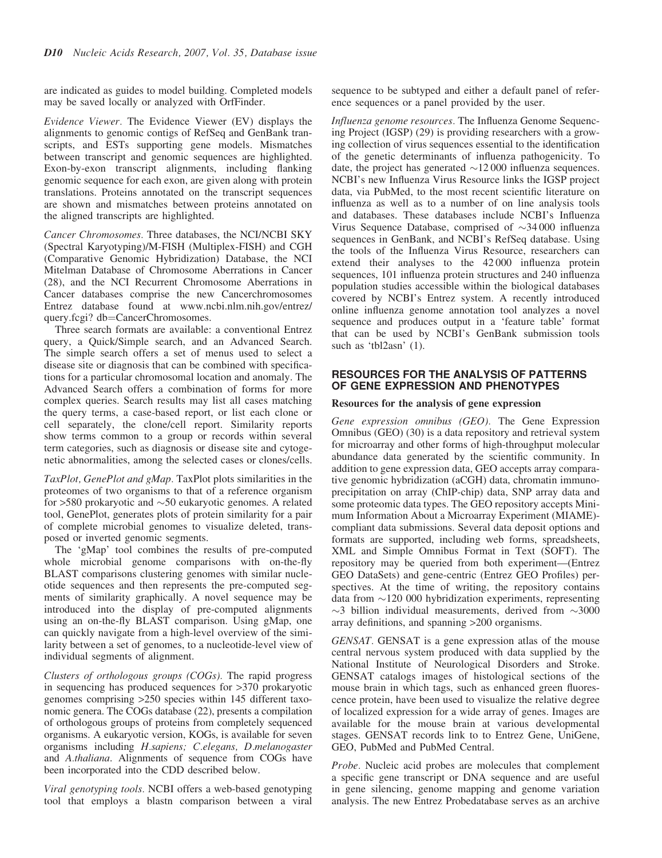are indicated as guides to model building. Completed models may be saved locally or analyzed with OrfFinder.

Evidence Viewer. The Evidence Viewer (EV) displays the alignments to genomic contigs of RefSeq and GenBank transcripts, and ESTs supporting gene models. Mismatches between transcript and genomic sequences are highlighted. Exon-by-exon transcript alignments, including flanking genomic sequence for each exon, are given along with protein translations. Proteins annotated on the transcript sequences are shown and mismatches between proteins annotated on the aligned transcripts are highlighted.

Cancer Chromosomes. Three databases, the NCI/NCBI SKY (Spectral Karyotyping)/M-FISH (Multiplex-FISH) and CGH (Comparative Genomic Hybridization) Database, the NCI Mitelman Database of Chromosome Aberrations in Cancer (28), and the NCI Recurrent Chromosome Aberrations in Cancer databases comprise the new Cancerchromosomes Entrez database found at www.ncbi.nlm.nih.gov/entrez/ query.fcgi? db=CancerChromosomes.

Three search formats are available: a conventional Entrez query, a Quick/Simple search, and an Advanced Search. The simple search offers a set of menus used to select a disease site or diagnosis that can be combined with specifications for a particular chromosomal location and anomaly. The Advanced Search offers a combination of forms for more complex queries. Search results may list all cases matching the query terms, a case-based report, or list each clone or cell separately, the clone/cell report. Similarity reports show terms common to a group or records within several term categories, such as diagnosis or disease site and cytogenetic abnormalities, among the selected cases or clones/cells.

TaxPlot, GenePlot and gMap. TaxPlot plots similarities in the proteomes of two organisms to that of a reference organism for  $>580$  prokaryotic and  $\sim$ 50 eukaryotic genomes. A related tool, GenePlot, generates plots of protein similarity for a pair of complete microbial genomes to visualize deleted, transposed or inverted genomic segments.

The 'gMap' tool combines the results of pre-computed whole microbial genome comparisons with on-the-fly BLAST comparisons clustering genomes with similar nucleotide sequences and then represents the pre-computed segments of similarity graphically. A novel sequence may be introduced into the display of pre-computed alignments using an on-the-fly BLAST comparison. Using gMap, one can quickly navigate from a high-level overview of the similarity between a set of genomes, to a nucleotide-level view of individual segments of alignment.

Clusters of orthologous groups (COGs). The rapid progress in sequencing has produced sequences for >370 prokaryotic genomes comprising >250 species within 145 different taxonomic genera. The COGs database (22), presents a compilation of orthologous groups of proteins from completely sequenced organisms. A eukaryotic version, KOGs, is available for seven organisms including H.sapiens; C.elegans, D.melanogaster and A.thaliana. Alignments of sequence from COGs have been incorporated into the CDD described below.

Viral genotyping tools. NCBI offers a web-based genotyping tool that employs a blastn comparison between a viral sequence to be subtyped and either a default panel of reference sequences or a panel provided by the user.

Influenza genome resources. The Influenza Genome Sequencing Project (IGSP) (29) is providing researchers with a growing collection of virus sequences essential to the identification of the genetic determinants of influenza pathogenicity. To date, the project has generated  $\sim$ 12000 influenza sequences. NCBI's new Influenza Virus Resource links the IGSP project data, via PubMed, to the most recent scientific literature on influenza as well as to a number of on line analysis tools and databases. These databases include NCBI's Influenza Virus Sequence Database, comprised of  $\sim$ 34 000 influenza sequences in GenBank, and NCBI's RefSeq database. Using the tools of the Influenza Virus Resource, researchers can extend their analyses to the 42 000 influenza protein sequences, 101 influenza protein structures and 240 influenza population studies accessible within the biological databases covered by NCBI's Entrez system. A recently introduced online influenza genome annotation tool analyzes a novel sequence and produces output in a 'feature table' format that can be used by NCBI's GenBank submission tools such as 'tbl2asn' (1).

## RESOURCES FOR THE ANALYSIS OF PATTERNS OF GENE EXPRESSION AND PHENOTYPES

#### Resources for the analysis of gene expression

Gene expression omnibus (GEO). The Gene Expression Omnibus (GEO) (30) is a data repository and retrieval system for microarray and other forms of high-throughput molecular abundance data generated by the scientific community. In addition to gene expression data, GEO accepts array comparative genomic hybridization (aCGH) data, chromatin immunoprecipitation on array (ChIP-chip) data, SNP array data and some proteomic data types. The GEO repository accepts Minimum Information About a Microarray Experiment (MIAME) compliant data submissions. Several data deposit options and formats are supported, including web forms, spreadsheets, XML and Simple Omnibus Format in Text (SOFT). The repository may be queried from both experiment—(Entrez GEO DataSets) and gene-centric (Entrez GEO Profiles) perspectives. At the time of writing, the repository contains data from  $\sim$ 120 000 hybridization experiments, representing  $\sim$ 3 billion individual measurements, derived from  $\sim$ 3000 array definitions, and spanning >200 organisms.

GENSAT. GENSAT is a gene expression atlas of the mouse central nervous system produced with data supplied by the National Institute of Neurological Disorders and Stroke. GENSAT catalogs images of histological sections of the mouse brain in which tags, such as enhanced green fluorescence protein, have been used to visualize the relative degree of localized expression for a wide array of genes. Images are available for the mouse brain at various developmental stages. GENSAT records link to to Entrez Gene, UniGene, GEO, PubMed and PubMed Central.

Probe. Nucleic acid probes are molecules that complement a specific gene transcript or DNA sequence and are useful in gene silencing, genome mapping and genome variation analysis. The new Entrez Probedatabase serves as an archive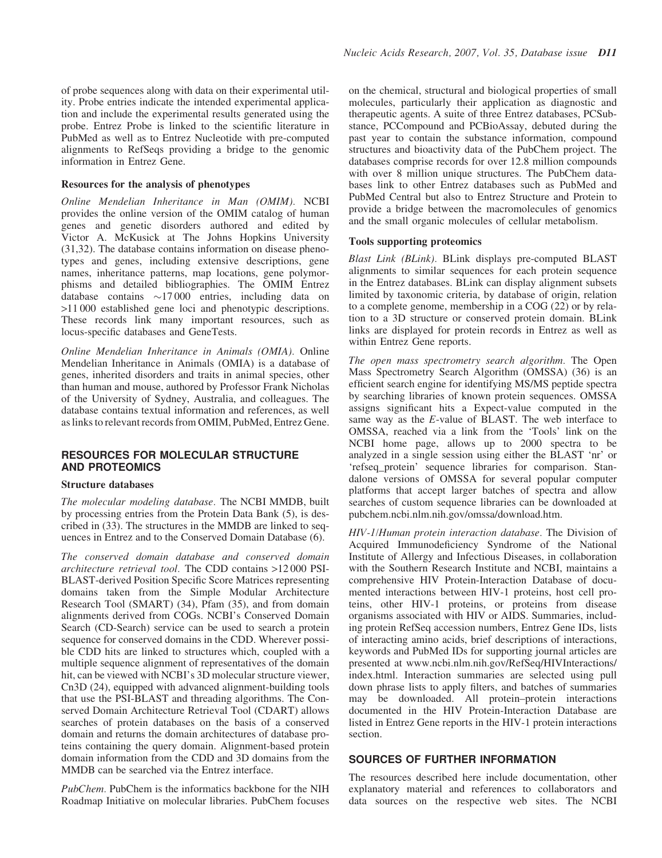of probe sequences along with data on their experimental utility. Probe entries indicate the intended experimental application and include the experimental results generated using the probe. Entrez Probe is linked to the scientific literature in PubMed as well as to Entrez Nucleotide with pre-computed alignments to RefSeqs providing a bridge to the genomic information in Entrez Gene.

#### Resources for the analysis of phenotypes

Online Mendelian Inheritance in Man (OMIM). NCBI provides the online version of the OMIM catalog of human genes and genetic disorders authored and edited by Victor A. McKusick at The Johns Hopkins University (31,32). The database contains information on disease phenotypes and genes, including extensive descriptions, gene names, inheritance patterns, map locations, gene polymorphisms and detailed bibliographies. The OMIM Entrez database contains  $\sim$ 17000 entries, including data on >11 000 established gene loci and phenotypic descriptions. These records link many important resources, such as locus-specific databases and GeneTests.

Online Mendelian Inheritance in Animals (OMIA). Online Mendelian Inheritance in Animals (OMIA) is a database of genes, inherited disorders and traits in animal species, other than human and mouse, authored by Professor Frank Nicholas of the University of Sydney, Australia, and colleagues. The database contains textual information and references, as well as links to relevant records from OMIM, PubMed, Entrez Gene.

## RESOURCES FOR MOLECULAR STRUCTURE AND PROTEOMICS

#### Structure databases

The molecular modeling database. The NCBI MMDB, built by processing entries from the Protein Data Bank (5), is described in (33). The structures in the MMDB are linked to sequences in Entrez and to the Conserved Domain Database (6).

The conserved domain database and conserved domain architecture retrieval tool. The CDD contains >12 000 PSI-BLAST-derived Position Specific Score Matrices representing domains taken from the Simple Modular Architecture Research Tool (SMART) (34), Pfam (35), and from domain alignments derived from COGs. NCBI's Conserved Domain Search (CD-Search) service can be used to search a protein sequence for conserved domains in the CDD. Wherever possible CDD hits are linked to structures which, coupled with a multiple sequence alignment of representatives of the domain hit, can be viewed with NCBI's 3D molecular structure viewer, Cn3D (24), equipped with advanced alignment-building tools that use the PSI-BLAST and threading algorithms. The Conserved Domain Architecture Retrieval Tool (CDART) allows searches of protein databases on the basis of a conserved domain and returns the domain architectures of database proteins containing the query domain. Alignment-based protein domain information from the CDD and 3D domains from the MMDB can be searched via the Entrez interface.

PubChem. PubChem is the informatics backbone for the NIH Roadmap Initiative on molecular libraries. PubChem focuses on the chemical, structural and biological properties of small molecules, particularly their application as diagnostic and therapeutic agents. A suite of three Entrez databases, PCSubstance, PCCompound and PCBioAssay, debuted during the past year to contain the substance information, compound structures and bioactivity data of the PubChem project. The databases comprise records for over 12.8 million compounds with over 8 million unique structures. The PubChem databases link to other Entrez databases such as PubMed and PubMed Central but also to Entrez Structure and Protein to provide a bridge between the macromolecules of genomics and the small organic molecules of cellular metabolism.

#### Tools supporting proteomics

Blast Link (BLink). BLink displays pre-computed BLAST alignments to similar sequences for each protein sequence in the Entrez databases. BLink can display alignment subsets limited by taxonomic criteria, by database of origin, relation to a complete genome, membership in a COG (22) or by relation to a 3D structure or conserved protein domain. BLink links are displayed for protein records in Entrez as well as within Entrez Gene reports.

The open mass spectrometry search algorithm. The Open Mass Spectrometry Search Algorithm (OMSSA) (36) is an efficient search engine for identifying MS/MS peptide spectra by searching libraries of known protein sequences. OMSSA assigns significant hits a Expect-value computed in the same way as the E-value of BLAST. The web interface to OMSSA, reached via a link from the 'Tools' link on the NCBI home page, allows up to 2000 spectra to be analyzed in a single session using either the BLAST 'nr' or 'refseq\_protein' sequence libraries for comparison. Standalone versions of OMSSA for several popular computer platforms that accept larger batches of spectra and allow searches of custom sequence libraries can be downloaded at pubchem.ncbi.nlm.nih.gov/omssa/download.htm.

HIV-1/Human protein interaction database. The Division of Acquired Immunodeficiency Syndrome of the National Institute of Allergy and Infectious Diseases, in collaboration with the Southern Research Institute and NCBI, maintains a comprehensive HIV Protein-Interaction Database of documented interactions between HIV-1 proteins, host cell proteins, other HIV-1 proteins, or proteins from disease organisms associated with HIV or AIDS. Summaries, including protein RefSeq accession numbers, Entrez Gene IDs, lists of interacting amino acids, brief descriptions of interactions, keywords and PubMed IDs for supporting journal articles are presented at www.ncbi.nlm.nih.gov/RefSeq/HIVInteractions/ index.html. Interaction summaries are selected using pull down phrase lists to apply filters, and batches of summaries may be downloaded. All protein–protein interactions documented in the HIV Protein-Interaction Database are listed in Entrez Gene reports in the HIV-1 protein interactions section.

#### SOURCES OF FURTHER INFORMATION

The resources described here include documentation, other explanatory material and references to collaborators and data sources on the respective web sites. The NCBI